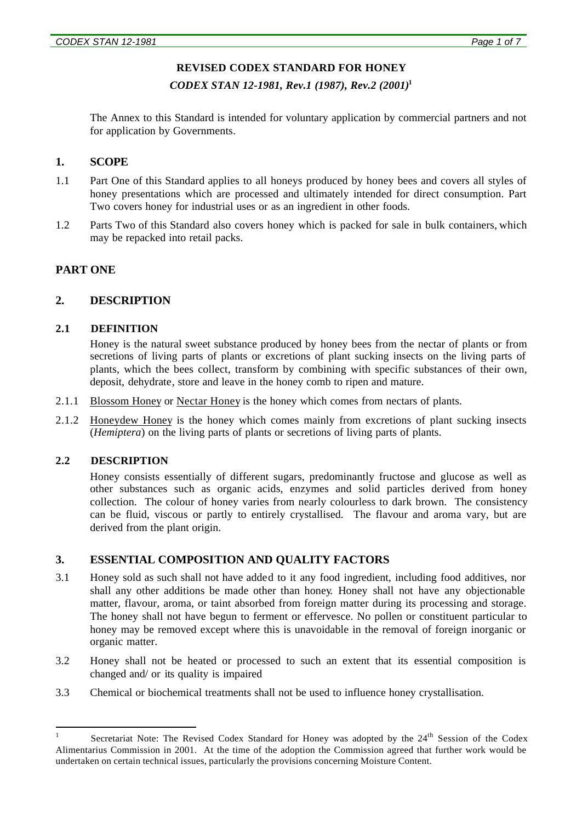#### **REVISED CODEX STANDARD FOR HONEY**

*CODEX STAN 12-1981, Rev.1 (1987), Rev.2 (2001)***<sup>1</sup>**

The Annex to this Standard is intended for voluntary application by commercial partners and not for application by Governments.

#### **1. SCOPE**

- 1.1 Part One of this Standard applies to all honeys produced by honey bees and covers all styles of honey presentations which are processed and ultimately intended for direct consumption. Part Two covers honey for industrial uses or as an ingredient in other foods.
- 1.2 Parts Two of this Standard also covers honey which is packed for sale in bulk containers, which may be repacked into retail packs.

#### **PART ONE**

#### **2. DESCRIPTION**

#### **2.1 DEFINITION**

Honey is the natural sweet substance produced by honey bees from the nectar of plants or from secretions of living parts of plants or excretions of plant sucking insects on the living parts of plants, which the bees collect, transform by combining with specific substances of their own, deposit, dehydrate*,* store and leave in the honey comb to ripen and mature.

- 2.1.1 Blossom Honey or Nectar Honey is the honey which comes from nectars of plants.
- 2.1.2 Honeydew Honey is the honey which comes mainly from excretions of plant sucking insects (*Hemiptera*) on the living parts of plants or secretions of living parts of plants.

#### **2.2 DESCRIPTION**

Honey consists essentially of different sugars, predominantly fructose and glucose as well as other substances such as organic acids, enzymes and solid particles derived from honey collection. The colour of honey varies from nearly colourless to dark brown. The consistency can be fluid, viscous or partly to entirely crystallised. The flavour and aroma vary, but are derived from the plant origin.

#### **3. ESSENTIAL COMPOSITION AND QUALITY FACTORS**

- 3.1 Honey sold as such shall not have added to it any food ingredient, including food additives, nor shall any other additions be made other than honey*.* Honey shall not have any objectionable matter*,* flavour, aroma, or taint absorbed from foreign matter during its processing and storage. The honey shall not have begun to ferment or effervesce. No pollen or constituent particular to honey may be removed except where this is unavoidable in the removal of foreign inorganic or organic matter.
- 3.2 Honey shall not be heated or processed to such an extent that its essential composition is changed and/ or its quality is impaired
- 3.3 Chemical or biochemical treatments shall not be used to influence honey crystallisation.

 $\frac{1}{1}$ Secretariat Note: The Revised Codex Standard for Honey was adopted by the 24<sup>th</sup> Session of the Codex Alimentarius Commission in 2001. At the time of the adoption the Commission agreed that further work would be undertaken on certain technical issues, particularly the provisions concerning Moisture Content.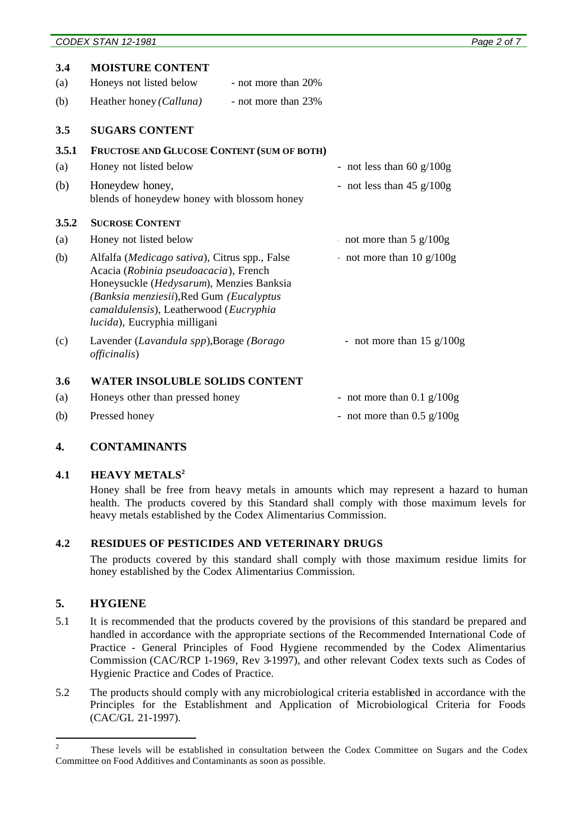|       | <b>MOISTURE CONTENT</b>                                                                                                                                                                                                                                  |                                                    |
|-------|----------------------------------------------------------------------------------------------------------------------------------------------------------------------------------------------------------------------------------------------------------|----------------------------------------------------|
| 3.4   |                                                                                                                                                                                                                                                          |                                                    |
| (a)   | Honeys not listed below<br>- not more than 20%                                                                                                                                                                                                           |                                                    |
| (b)   | Heather honey (Calluna)<br>- not more than 23%                                                                                                                                                                                                           |                                                    |
| 3.5   | <b>SUGARS CONTENT</b>                                                                                                                                                                                                                                    |                                                    |
| 3.5.1 | FRUCTOSE AND GLUCOSE CONTENT (SUM OF BOTH)                                                                                                                                                                                                               |                                                    |
| (a)   | Honey not listed below                                                                                                                                                                                                                                   | - not less than 60 $g/100g$                        |
| (b)   | Honeydew honey,<br>blends of honeydew honey with blossom honey                                                                                                                                                                                           | - not less than $45 \frac{\text{g}}{100 \text{g}}$ |
| 3.5.2 | <b>SUCROSE CONTENT</b>                                                                                                                                                                                                                                   |                                                    |
| (a)   | Honey not listed below                                                                                                                                                                                                                                   | not more than $5 \frac{\text{g}}{100 \text{g}}$    |
| (b)   | Alfalfa (Medicago sativa), Citrus spp., False<br>Acacia (Robinia pseudoacacia), French<br>Honeysuckle (Hedysarum), Menzies Banksia<br>(Banksia menziesii), Red Gum (Eucalyptus<br>camaldulensis), Leatherwood (Eucryphia<br>lucida), Eucryphia milligani | not more than 10 $g/100g$                          |
| (c)   | Lavender (Lavandula spp), Borage (Borago<br><i>officinalis</i> )                                                                                                                                                                                         | - not more than $15 \frac{\text{g}}{100 \text{g}}$ |
| 3.6   | <b>WATER INSOLUBLE SOLIDS CONTENT</b>                                                                                                                                                                                                                    |                                                    |
| (a)   | Honeys other than pressed honey                                                                                                                                                                                                                          | - not more than $0.1$ g/ $100g$                    |
| (b)   | Pressed honey                                                                                                                                                                                                                                            | - not more than $0.5$ g/ $100$ g                   |
|       |                                                                                                                                                                                                                                                          |                                                    |

## **4. CONTAMINANTS**

## **4.1 HEAVY METALS<sup>2</sup>**

Honey shall be free from heavy metals in amounts which may represent a hazard to human health. The products covered by this Standard shall comply with those maximum levels for heavy metals established by the Codex Alimentarius Commission.

## **4.2 RESIDUES OF PESTICIDES AND VETERINARY DRUGS**

The products covered by this standard shall comply with those maximum residue limits for honey established by the Codex Alimentarius Commission.

## **5. HYGIENE**

- 5.1 It is recommended that the products covered by the provisions of this standard be prepared and handled in accordance with the appropriate sections of the Recommended International Code of Practice - General Principles of Food Hygiene recommended by the Codex Alimentarius Commission (CAC/RCP 1-1969, Rev 3-1997), and other relevant Codex texts such as Codes of Hygienic Practice and Codes of Practice.
- 5.2 The products should comply with any microbiological criteria established in accordance with the Principles for the Establishment and Application of Microbiological Criteria for Foods (CAC/GL 21-1997).

 $\frac{1}{2}$ These levels will be established in consultation between the Codex Committee on Sugars and the Codex Committee on Food Additives and Contaminants as soon as possible.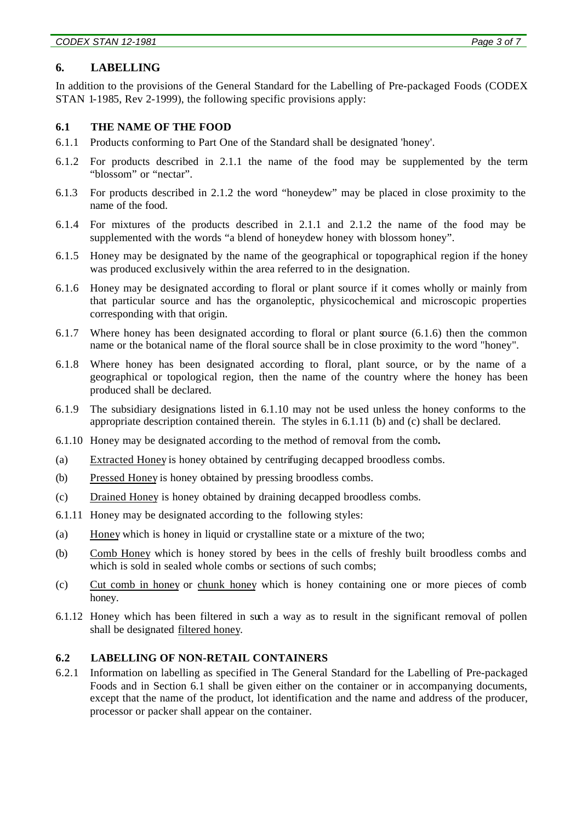*CODEX STAN 12-1981 Page 3 of 7*

#### **6. LABELLING**

In addition to the provisions of the General Standard for the Labelling of Pre-packaged Foods (CODEX STAN 1-1985, Rev 2-1999), the following specific provisions apply:

#### **6.1 THE NAME OF THE FOOD**

- 6.1.1 Products conforming to Part One of the Standard shall be designated 'honey'.
- 6.1.2 For products described in 2.1.1 the name of the food may be supplemented by the term "blossom" or "nectar".
- 6.1.3 For products described in 2.1.2 the word "honeydew" may be placed in close proximity to the name of the food.
- 6.1.4 For mixtures of the products described in 2.1.1 and 2.1.2 the name of the food may be supplemented with the words "a blend of honeydew honey with blossom honey".
- 6.1.5 Honey may be designated by the name of the geographical or topographical region if the honey was produced exclusively within the area referred to in the designation.
- 6.1.6 Honey may be designated according to floral or plant source if it comes wholly or mainly from that particular source and has the organoleptic, physicochemical and microscopic properties corresponding with that origin.
- 6.1.7 Where honey has been designated according to floral or plant source (6.1.6) then the common name or the botanical name of the floral source shall be in close proximity to the word "honey".
- 6.1.8 Where honey has been designated according to floral, plant source, or by the name of a geographical or topological region, then the name of the country where the honey has been produced shall be declared.
- 6.1.9 The subsidiary designations listed in 6.1.10 may not be used unless the honey conforms to the appropriate description contained therein. The styles in 6.1.11 (b) and (c) shall be declared.
- 6.1.10 Honey may be designated according to the method of removal from the comb**.**
- (a) Extracted Honey is honey obtained by centrifuging decapped broodless combs.
- (b) Pressed Honey is honey obtained by pressing broodless combs.
- (c) Drained Honey is honey obtained by draining decapped broodless combs.
- 6.1.11 Honey may be designated according to the following styles:
- (a) Honey which is honey in liquid or crystalline state or a mixture of the two;
- (b) Comb Honey which is honey stored by bees in the cells of freshly built broodless combs and which is sold in sealed whole combs or sections of such combs;
- (c) Cut comb in honey or chunk honey which is honey containing one or more pieces of comb honey.
- 6.1.12 Honey which has been filtered in such a way as to result in the significant removal of pollen shall be designated filtered honey.

#### **6.2 LABELLING OF NON-RETAIL CONTAINERS**

6.2.1 Information on labelling as specified in The General Standard for the Labelling of Pre-packaged Foods and in Section 6.1 shall be given either on the container or in accompanying documents, except that the name of the product, lot identification and the name and address of the producer, processor or packer shall appear on the container.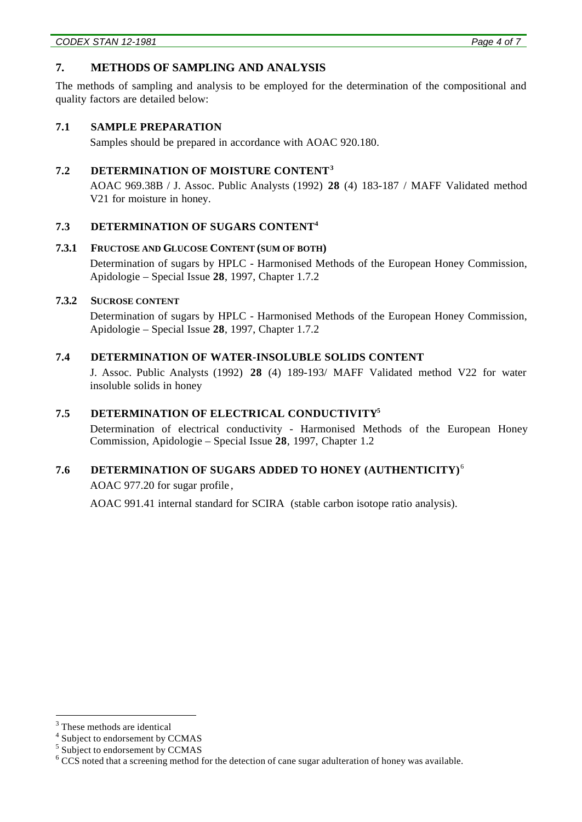## **7. METHODS OF SAMPLING AND ANALYSIS**

The methods of sampling and analysis to be employed for the determination of the compositional and quality factors are detailed below:

#### **7.1 SAMPLE PREPARATION**

Samples should be prepared in accordance with AOAC 920.180.

## **7.2 DETERMINATION OF MOISTURE CONTENT<sup>3</sup>**

AOAC 969.38B / J. Assoc. Public Analysts (1992) **28** (4) 183-187 / MAFF Validated method V21 for moisture in honey.

## **7.3 DETERMINATION OF SUGARS CONTENT<sup>4</sup>**

#### **7.3.1 FRUCTOSE AND GLUCOSE CONTENT (SUM OF BOTH)**

Determination of sugars by HPLC - Harmonised Methods of the European Honey Commission, Apidologie – Special Issue **28**, 1997, Chapter 1.7.2

#### **7.3.2 SUCROSE CONTENT**

Determination of sugars by HPLC - Harmonised Methods of the European Honey Commission, Apidologie – Special Issue **28**, 1997, Chapter 1.7.2

## **7.4 DETERMINATION OF WATER-INSOLUBLE SOLIDS CONTENT**

J. Assoc. Public Analysts (1992) **28** (4) 189-193/ MAFF Validated method V22 for water insoluble solids in honey

## **7.5 DETERMINATION OF ELECTRICAL CONDUCTIVITY<sup>5</sup>**

Determination of electrical conductivity - Harmonised Methods of the European Honey Commission, Apidologie – Special Issue **28**, 1997, Chapter 1.2

## **7.6 DETERMINATION OF SUGARS ADDED TO HONEY (AUTHENTICITY)** <sup>6</sup>

AOAC 977.20 for sugar profile *,*

AOAC 991.41 internal standard for SCIRA (stable carbon isotope ratio analysis).

l

<sup>&</sup>lt;sup>3</sup> These methods are identical

<sup>&</sup>lt;sup>4</sup> Subject to endorsement by CCMAS

<sup>&</sup>lt;sup>5</sup> Subject to endorsement by CCMAS

 $6$  CCS noted that a screening method for the detection of cane sugar adulteration of honey was available.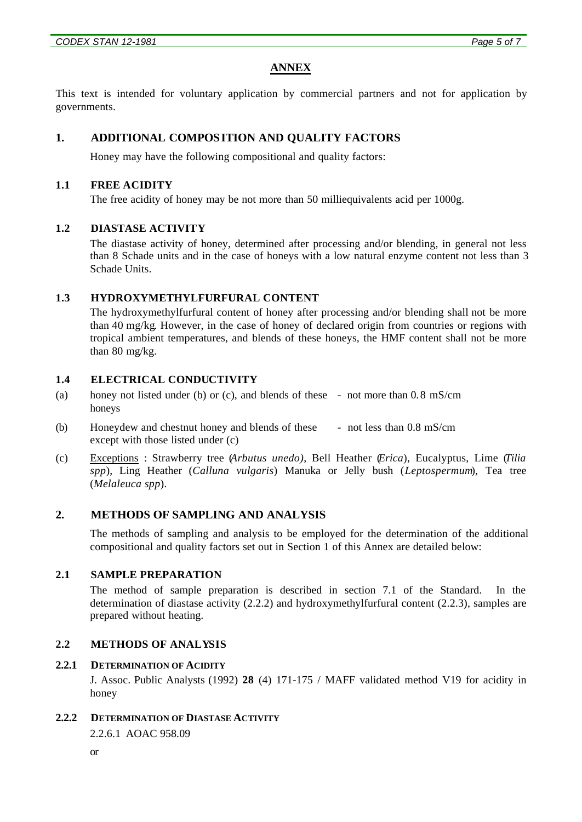## **ANNEX**

This text is intended for voluntary application by commercial partners and not for application by governments.

## **1. ADDITIONAL COMPOSITION AND QUALITY FACTORS**

Honey may have the following compositional and quality factors:

#### **1.1 FREE ACIDITY**

The free acidity of honey may be not more than 50 milliequivalents acid per 1000g.

#### **1.2 DIASTASE ACTIVITY**

The diastase activity of honey, determined after processing and/or blending, in general not less than 8 Schade units and in the case of honeys with a low natural enzyme content not less than 3 Schade Units.

#### **1.3 HYDROXYMETHYLFURFURAL CONTENT**

The hydroxymethylfurfural content of honey after processing and/or blending shall not be more than 40 mg/kg*.* However, in the case of honey of declared origin from countries or regions with tropical ambient temperatures, and blends of these honeys, the HMF content shall not be more than 80 mg/kg.

#### **1.4 ELECTRICAL CONDUCTIVITY**

- (a) honey not listed under (b) or (c), and blends of these not more than 0.8 mS/cm honeys
- (b) Honeydew and chestnut honey and blends of these except with those listed under (c) - not less than 0.8 mS/cm
- (c) Exceptions : Strawberry tree (*Arbutus unedo)*, Bell Heather (*Erica*), Eucalyptus, Lime (*Tilia spp*), Ling Heather (*Calluna vulgaris*) Manuka or Jelly bush (*Leptospermum*), Tea tree (*Melaleuca spp*).

## **2. METHODS OF SAMPLING AND ANALYSIS**

The methods of sampling and analysis to be employed for the determination of the additional compositional and quality factors set out in Section 1 of this Annex are detailed below:

## **2.1 SAMPLE PREPARATION**

The method of sample preparation is described in section 7.1 of the Standard. In the determination of diastase activity (2.2.2) and hydroxymethylfurfural content (2.2.3), samples are prepared without heating.

#### **2.2 METHODS OF ANALYSIS**

#### **2.2.1 DETERMINATION OF ACIDITY**

J. Assoc. Public Analysts (1992) **28** (4) 171-175 / MAFF validated method V19 for acidity in honey

**2.2.2 DETERMINATION OF DIASTASE ACTIVITY**

2.2.6.1 AOAC 958.09

or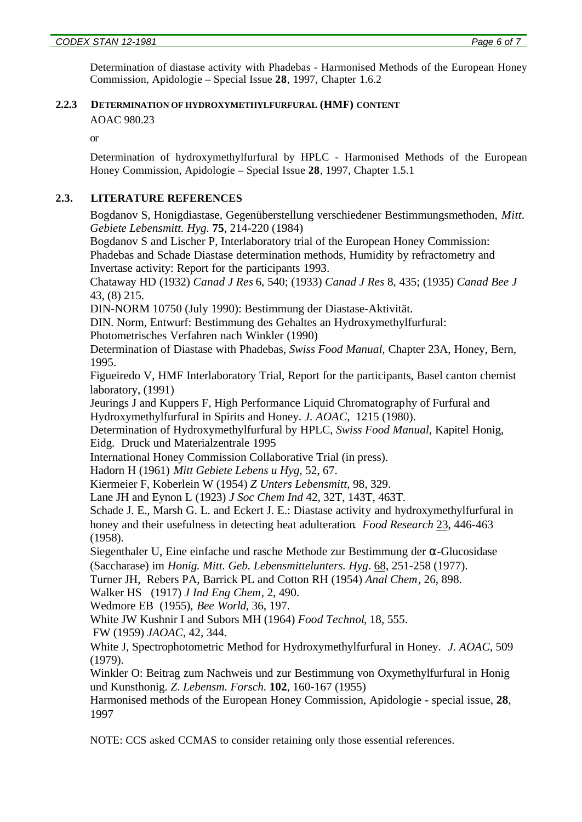Determination of diastase activity with Phadebas - Harmonised Methods of the European Honey Commission, Apidologie – Special Issue **28**, 1997, Chapter 1.6.2

## **2.2.3 DETERMINATION OF HYDROXYMETHYLFURFURAL (HMF) CONTENT**

AOAC 980.23

or

Determination of hydroxymethylfurfural by HPLC - Harmonised Methods of the European Honey Commission, Apidologie – Special Issue **28**, 1997, Chapter 1.5.1

## **2.3. LITERATURE REFERENCES**

Bogdanov S, Honigdiastase, Gegenüberstellung verschiedener Bestimmungsmethoden, *Mitt. Gebiete Lebensmitt. Hyg.* **75**, 214-220 (1984)

Bogdanov S and Lischer P, Interlaboratory trial of the European Honey Commission: Phadebas and Schade Diastase determination methods, Humidity by refractometry and Invertase activity: Report for the participants 1993.

Chataway HD (1932) *Canad J Res* 6, 540; (1933) *Canad J Res* 8, 435; (1935) *Canad Bee J* 43, (8) 215.

DIN-NORM 10750 (July 1990): Bestimmung der Diastase-Aktivität.

DIN. Norm, Entwurf: Bestimmung des Gehaltes an Hydroxymethylfurfural:

Photometrisches Verfahren nach Winkler (1990)

Determination of Diastase with Phadebas, *Swiss Food Manual*, Chapter 23A, Honey, Bern, 1995.

Figueiredo V, HMF Interlaboratory Trial, Report for the participants, Basel canton chemist laboratory, (1991)

Jeurings J and Kuppers F, High Performance Liquid Chromatography of Furfural and Hydroxymethylfurfural in Spirits and Honey. *J. AOAC*, 1215 (1980).

Determination of Hydroxymethylfurfural by HPLC, *Swiss Food Manual*, Kapitel Honig, Eidg. Druck und Materialzentrale 1995

International Honey Commission Collaborative Trial (in press).

Hadorn H (1961) *Mitt Gebiete Lebens u Hyg*, 52, 67.

Kiermeier F, Koberlein W (1954) *Z Unters Lebensmitt*, 98, 329.

Lane JH and Eynon L (1923) *J Soc Chem Ind* 42, 32T, 143T, 463T.

Schade J. E., Marsh G. L. and Eckert J. E.: Diastase activity and hydroxymethylfurfural in honey and their usefulness in detecting heat adulteration*. Food Research* 23, 446-463 (1958).

Siegenthaler U, Eine einfache und rasche Methode zur Bestimmung der α-Glucosidase (Saccharase) im *Honig. Mitt. Geb. Lebensmittelunters. Hyg*. 68, 251-258 (1977).

Turner JH, Rebers PA, Barrick PL and Cotton RH (1954) *Anal Chem*, 26, 898.

Walker HS (1917) *J Ind Eng Chem*, 2, 490.

Wedmore EB (1955), *Bee World*, 36, 197.

White JW Kushnir I and Subors MH (1964) *Food Technol*, 18, 555.

FW (1959) *JAOAC*, 42, 344.

White J, Spectrophotometric Method for Hydroxymethylfurfural in Honey. *J. AOAC*, 509 (1979).

Winkler O: Beitrag zum Nachweis und zur Bestimmung von Oxymethylfurfural in Honig und Kunsthonig. *Z*. *Lebensm. Forsch.* **102**, 160-167 (1955)

Harmonised methods of the European Honey Commission, Apidologie - special issue, **28**, 1997

NOTE: CCS asked CCMAS to consider retaining only those essential references.